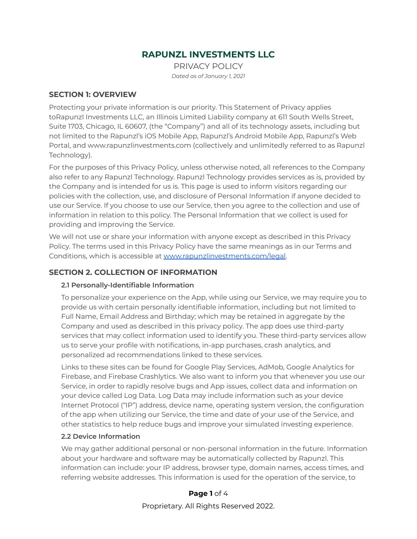# **RAPUNZL INVESTMENTS LLC**

PRIVACY POLICY *Dated as of January 1, 2021*

#### **SECTION 1: OVERVIEW**

Protecting your private information is our priority. This Statement of Privacy applies toRapunzl Investments LLC, an Illinois Limited Liability company at 611 South Wells Street, Suite 1703, Chicago, IL 60607, (the "Company") and all of its technology assets, including but not limited to the Rapunzl's iOS Mobile App, Rapunzl's Android Mobile App, Rapunzl's Web Portal, and www.rapunzlinvestments.com (collectively and unlimitedly referred to as Rapunzl Technology).

For the purposes of this Privacy Policy, unless otherwise noted, all references to the Company also refer to any Rapunzl Technology. Rapunzl Technology provides services as is, provided by the Company and is intended for us is. This page is used to inform visitors regarding our policies with the collection, use, and disclosure of Personal Information if anyone decided to use our Service. If you choose to use our Service, then you agree to the collection and use of information in relation to this policy. The Personal Information that we collect is used for providing and improving the Service.

We will not use or share your information with anyone except as described in this Privacy Policy. The terms used in this Privacy Policy have the same meanings as in our Terms and Conditions, which is accessible at [www.rapunzlinvestments.com/legal.](http://www.rapunzlinvestments.com/legal)

### **SECTION 2. COLLECTION OF INFORMATION**

#### **2.1 Personally-Identifiable Information**

To personalize your experience on the App, while using our Service, we may require you to provide us with certain personally identifiable information, including but not limited to Full Name, Email Address and Birthday; which may be retained in aggregate by the Company and used as described in this privacy policy. The app does use third-party services that may collect information used to identify you. These third-party services allow us to serve your profile with notifications, in-app purchases, crash analytics, and personalized ad recommendations linked to these services.

Links to these sites can be found for Google Play Services, AdMob, Google Analytics for Firebase, and Firebase Crashlytics. We also want to inform you that whenever you use our Service, in order to rapidly resolve bugs and App issues, collect data and information on your device called Log Data. Log Data may include information such as your device Internet Protocol ("IP") address, device name, operating system version, the configuration of the app when utilizing our Service, the time and date of your use of the Service, and other statistics to help reduce bugs and improve your simulated investing experience.

#### **2.2 Device Information**

We may gather additional personal or non-personal information in the future. Information about your hardware and software may be automatically collected by Rapunzl. This information can include: your IP address, browser type, domain names, access times, and referring website addresses. This information is used for the operation of the service, to

### **Page 1** of 4

Proprietary. All Rights Reserved 2022.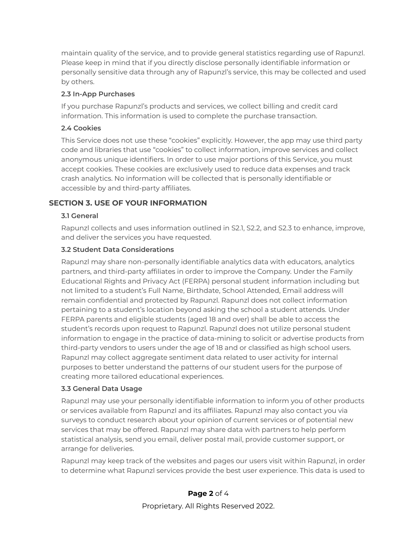maintain quality of the service, and to provide general statistics regarding use of Rapunzl. Please keep in mind that if you directly disclose personally identifiable information or personally sensitive data through any of Rapunzl's service, this may be collected and used by others.

#### **2.3 In-App Purchases**

If you purchase Rapunzl's products and services, we collect billing and credit card information. This information is used to complete the purchase transaction.

### **2.4 Cookies**

This Service does not use these "cookies" explicitly. However, the app may use third party code and libraries that use "cookies" to collect information, improve services and collect anonymous unique identifiers. In order to use major portions of this Service, you must accept cookies. These cookies are exclusively used to reduce data expenses and track crash analytics. No information will be collected that is personally identifiable or accessible by and third-party affiliates.

# **SECTION 3. USE OF YOUR INFORMATION**

#### **3.1 General**

Rapunzl collects and uses information outlined in S2.1, S2.2, and S2.3 to enhance, improve, and deliver the services you have requested.

#### **3.2 Student Data Considerations**

Rapunzl may share non-personally identifiable analytics data with educators, analytics partners, and third-party affiliates in order to improve the Company. Under the Family Educational Rights and Privacy Act (FERPA) personal student information including but not limited to a student's Full Name, Birthdate, School Attended, Email address will remain confidential and protected by Rapunzl. Rapunzl does not collect information pertaining to a student's location beyond asking the school a student attends. Under FERPA parents and eligible students (aged 18 and over) shall be able to access the student's records upon request to Rapunzl. Rapunzl does not utilize personal student information to engage in the practice of data-mining to solicit or advertise products from third-party vendors to users under the age of 18 and or classified as high school users. Rapunzl may collect aggregate sentiment data related to user activity for internal purposes to better understand the patterns of our student users for the purpose of creating more tailored educational experiences.

#### **3.3 General Data Usage**

Rapunzl may use your personally identifiable information to inform you of other products or services available from Rapunzl and its affiliates. Rapunzl may also contact you via surveys to conduct research about your opinion of current services or of potential new services that may be offered. Rapunzl may share data with partners to help perform statistical analysis, send you email, deliver postal mail, provide customer support, or arrange for deliveries.

Rapunzl may keep track of the websites and pages our users visit within Rapunzl, in order to determine what Rapunzl services provide the best user experience. This data is used to

# **Page 2** of 4

Proprietary. All Rights Reserved 2022.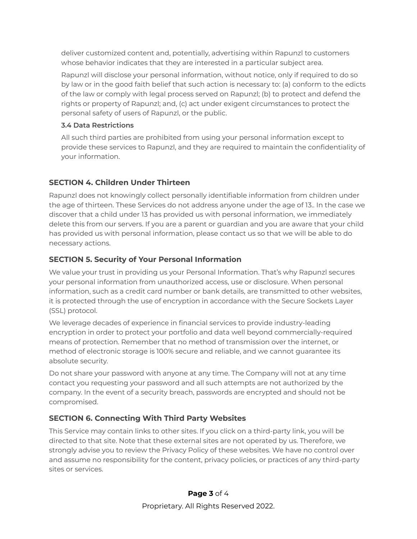deliver customized content and, potentially, advertising within Rapunzl to customers whose behavior indicates that they are interested in a particular subject area.

Rapunzl will disclose your personal information, without notice, only if required to do so by law or in the good faith belief that such action is necessary to: (a) conform to the edicts of the law or comply with legal process served on Rapunzl; (b) to protect and defend the rights or property of Rapunzl; and, (c) act under exigent circumstances to protect the personal safety of users of Rapunzl, or the public.

### **3.4 Data Restrictions**

All such third parties are prohibited from using your personal information except to provide these services to Rapunzl, and they are required to maintain the confidentiality of your information.

# **SECTION 4. Children Under Thirteen**

Rapunzl does not knowingly collect personally identifiable information from children under the age of thirteen. These Services do not address anyone under the age of 13.. In the case we discover that a child under 13 has provided us with personal information, we immediately delete this from our servers. If you are a parent or guardian and you are aware that your child has provided us with personal information, please contact us so that we will be able to do necessary actions.

# **SECTION 5. Security of Your Personal Information**

We value your trust in providing us your Personal Information. That's why Rapunzl secures your personal information from unauthorized access, use or disclosure. When personal information, such as a credit card number or bank details, are transmitted to other websites, it is protected through the use of encryption in accordance with the Secure Sockets Layer (SSL) protocol.

We leverage decades of experience in financial services to provide industry-leading encryption in order to protect your portfolio and data well beyond commercially-required means of protection. Remember that no method of transmission over the internet, or method of electronic storage is 100% secure and reliable, and we cannot guarantee its absolute security.

Do not share your password with anyone at any time. The Company will not at any time contact you requesting your password and all such attempts are not authorized by the company. In the event of a security breach, passwords are encrypted and should not be compromised.

# **SECTION 6. Connecting With Third Party Websites**

This Service may contain links to other sites. If you click on a third-party link, you will be directed to that site. Note that these external sites are not operated by us. Therefore, we strongly advise you to review the Privacy Policy of these websites. We have no control over and assume no responsibility for the content, privacy policies, or practices of any third-party sites or services.

### **Page 3** of 4

Proprietary. All Rights Reserved 2022.